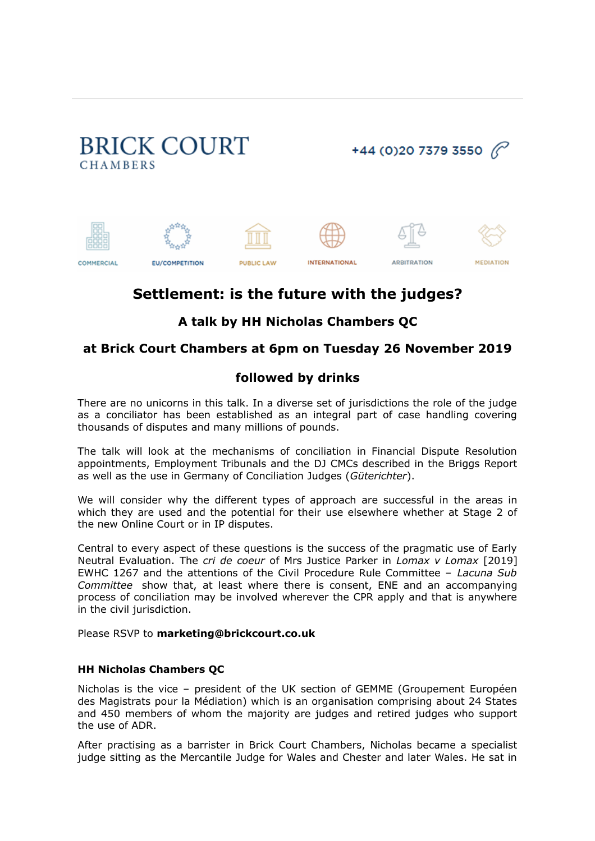

# **Settlement: is the future with the judges?**

## **A talk by [HH Nicholas Chambers QC](https://marketing.lexportal.co.uk/marketingServer/incoming.aspx?l=0x3DBC17CE19297A5CFA06B16BC0A87944FFD98008D1BE20E98092798150948275C4A901161AD00726860A3D47DF6F5458F2525945C45D72583D416EBB2C06EA7AB3D652FA38924B22&ln=10&d=0xEC3640B4180F8F16%5E0xD1197CF0B1D861C4%7C0x40F3E49C83A12815%5E0x2BAB4297831AEC04%7C0xF1B146662D144B75%5E0xC062C02FF5EA0C9B%7C0xC00B32B3252A1623F7126F7C46654076%5E0x454330C2B43F6D0F%7C0x7C0176C586DD3A52%5E0xAF05BFE16FAC59B51A7580E068F5CF9A%7C0xA14B30AADF25AF0D%5E0x17922B9099DE2B55F699159D61C256AC1EE9C6511B169AAFC45692AF33D8B072BA7CA5CF185064EB%7C0x4AA4940AA96EF179%5E0x0FAB3F256AD45B38%7C0x1F76935CAA54AE0A%5E0xDE13FDD2EEA70C81414AE599365D4EB6B95A2F28BD29F58EE88B4A6D2FE53CD5F2BB6862DAB9648C%7C0x7789D30FD723DAF4%5E0x454330C2B43F6D0F%7C0xEA5DE7CEE9203CB2%5E0x0FA53A04BCE0085BE76ED13A1DFDF921%7C0x49EB4C9596DBE1A5%5E0x07E2D806FF38BF69637BD3C0E2A19B86%7C0xD52134AC788FF0FE%5E0xAD52F5519AAF3156%7C&c=114&s=2408)**

### **at Brick Court Chambers at 6pm on Tuesday 26 November 2019**

### **followed by drinks**

There are no unicorns in this talk. In a diverse set of jurisdictions the role of the judge as a conciliator has been established as an integral part of case handling covering thousands of disputes and many millions of pounds.

The talk will look at the mechanisms of conciliation in Financial Dispute Resolution appointments, Employment Tribunals and the DJ CMCs described in the Briggs Report as well as the use in Germany of Conciliation Judges (*Güterichter*).

We will consider why the different types of approach are successful in the areas in which they are used and the potential for their use elsewhere whether at Stage 2 of the new Online Court or in IP disputes.

Central to every aspect of these questions is the success of the pragmatic use of Early Neutral Evaluation. The *cri de coeur* of Mrs Justice Parker in *Lomax v Lomax* [2019] EWHC 1267 and the attentions of the Civil Procedure Rule Committee – *Lacuna Sub Committee* show that, at least where there is consent, ENE and an accompanying process of conciliation may be involved wherever the CPR apply and that is anywhere in the civil jurisdiction.

#### Please RSVP to **[marketing@brickcourt.co.uk](mailto:marketing@brickcourt.co.uk)**

#### **[HH Nicholas Chambers QC](https://marketing.lexportal.co.uk/marketingServer/incoming.aspx?l=0x3DBC17CE19297A5CFA06B16BC0A87944FFD98008D1BE20E98092798150948275C4A901161AD00726860A3D47DF6F5458F2525945C45D72583D416EBB2C06EA7AB3D652FA38924B22&ln=11&d=0xEC3640B4180F8F16%5E0xD1197CF0B1D861C4%7C0x40F3E49C83A12815%5E0x2BAB4297831AEC04%7C0xF1B146662D144B75%5E0xC062C02FF5EA0C9B%7C0xC00B32B3252A1623F7126F7C46654076%5E0x454330C2B43F6D0F%7C0x7C0176C586DD3A52%5E0xAF05BFE16FAC59B51A7580E068F5CF9A%7C0xA14B30AADF25AF0D%5E0x17922B9099DE2B55F699159D61C256AC1EE9C6511B169AAFC45692AF33D8B072BA7CA5CF185064EB%7C0x4AA4940AA96EF179%5E0x0FAB3F256AD45B38%7C0x1F76935CAA54AE0A%5E0xDE13FDD2EEA70C81414AE599365D4EB6B95A2F28BD29F58EE88B4A6D2FE53CD5F2BB6862DAB9648C%7C0x7789D30FD723DAF4%5E0x454330C2B43F6D0F%7C0xEA5DE7CEE9203CB2%5E0x0FA53A04BCE0085BE76ED13A1DFDF921%7C0x49EB4C9596DBE1A5%5E0x07E2D806FF38BF69637BD3C0E2A19B86%7C0xD52134AC788FF0FE%5E0xAD52F5519AAF3156%7C&c=114&s=2408)**

Nicholas is the vice – president of the UK section of GEMME (Groupement Européen des Magistrats pour la Médiation) which is an organisation comprising about 24 States and 450 members of whom the majority are judges and retired judges who support the use of ADR.

After practising as a barrister in Brick Court Chambers, Nicholas became a specialist judge sitting as the Mercantile Judge for Wales and Chester and later Wales. He sat in